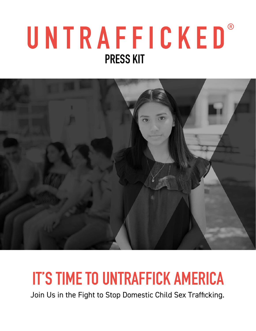# UNTRAFFICKED® **PRESS KIT**



## **IT'S TIME TO UNTRAFFICK AMERICA**

Join Us in the Fight to Stop Domestic Child Sex Trafficking.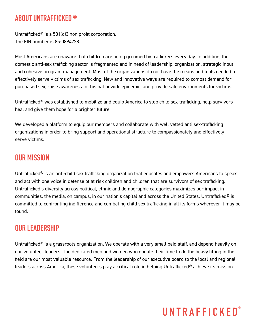### **ABOUT UNTRAFFICKED** ®

Untrafficked® is a 501(c)3 non profit corporation. The EIN number is 85-0894728.

Most Americans are unaware that children are being groomed by traffickers every day. In addition, the domestic anti-sex trafficking sector is fragmented and in need of leadership, organization, strategic input and cohesive program management. Most of the organizations do not have the means and tools needed to effectively serve victims of sex trafficking. New and innovative ways are required to combat demand for purchased sex, raise awareness to this nationwide epidemic, and provide safe environments for victims.

Untrafficked® was established to mobilize and equip America to stop child sex-trafficking, help survivors heal and give them hope for a brighter future.

We developed a platform to equip our members and collaborate with well vetted anti sex-trafficking organizations in order to bring support and operational structure to compassionately and effectively serve victims.

#### **OUR MISSION**

Untrafficked® is an anti-child sex trafficking organization that educates and empowers Americans to speak and act with one voice in defense of at risk children and children that are survivors of sex trafficking. Untrafficked's diversity across political, ethnic and demographic categories maximizes our impact in communities, the media, on campus, in our nation's capital and across the United States. Untrafficked® is committed to confronting indifference and combating child sex trafficking in all its forms wherever it may be found.

### **OUR LEADERSHIP**

Untrafficked<sup>®</sup> is a grassroots organization. We operate with a very small paid staff, and depend heavily on our volunteer leaders. The dedicated men and women who donate their time to do the heavy lifting in the field are our most valuable resource. From the leadership of our executive board to the local and regional leaders across America, these volunteers play a critical role in helping Untrafficked® achieve its mission.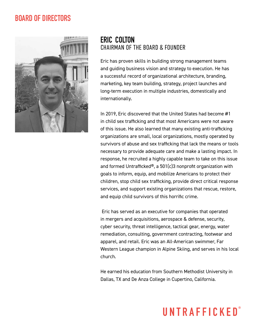

#### **ERIC COLTON** CHAIRMAN OF THE BOARD & FOUNDER

Eric has proven skills in building strong management teams and guiding business vision and strategy to execution. He has a successful record of organizational architecture, branding, marketing, key team building, strategy, project launches and long-term execution in multiple industries, domestically and internationally.

In 2019, Eric discovered that the United States had become #1 in child sex trafficking and that most Americans were not aware of this issue. He also learned that many existing anti-trafficking organizations are small, local organizations, mostly operated by survivors of abuse and sex trafficking that lack the means or tools necessary to provide adequate care and make a lasting impact. In response, he recruited a highly capable team to take on this issue and formed Untrafficked®, a 501(c)3 nonprofit organization with goals to inform, equip, and mobilize Americans to protect their children, stop child sex trafficking, provide direct critical response services, and support existing organizations that rescue, restore, and equip child survivors of this horrific crime.

 Eric has served as an executive for companies that operated in mergers and acquisitions, aerospace & defense, security, cyber security, threat intelligence, tactical gear, energy, water remediation, consulting, government contracting, footwear and apparel, and retail. Eric was an All-American swimmer, Far Western League champion in Alpine Skiing, and serves in his local church.

He earned his education from Southern Methodist University in Dallas, TX and De Anza College in Cupertino, California.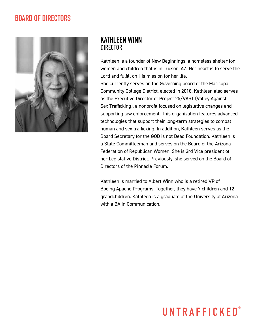

#### **KATHLEEN WINN** DIRECTOR

Kathleen is a founder of New Beginnings, a homeless shelter for women and children that is in Tucson, AZ. Her heart is to serve the Lord and fulfill on His mission for her life. She currently serves on the Governing board of the Maricopa Community College District, elected in 2018. Kathleen also serves as the Executive Director of Project 25/VAST (Valley Against Sex Trafficking), a nonprofit focused on legislative changes and supporting law enforcement. This organization features advanced technologies that support their long-term strategies to combat human and sex trafficking. In addition, Kathleen serves as the Board Secretary for the GOD is not Dead Foundation. Kathleen is a State Committeeman and serves on the Board of the Arizona Federation of Republican Women. She is 3rd Vice president of her Legislative District. Previously, she served on the Board of Directors of the Pinnacle Forum.

Kathleen is married to Albert Winn who is a retired VP of Boeing Apache Programs. Together, they have 7 children and 12 grandchildren. Kathleen is a graduate of the University of Arizona with a BA in Communication.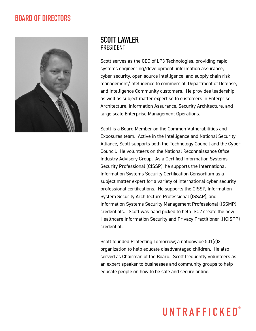

#### **SCOTT LAWLER PRESIDENT**

Scott serves as the CEO of LP3 Technologies, providing rapid systems engineering/development, information assurance, cyber security, open source intelligence, and supply chain risk management/intelligence to commercial, Department of Defense, and Intelligence Community customers. He provides leadership as well as subject matter expertise to customers in Enterprise Architecture, Information Assurance, Security Architecture, and large scale Enterprise Management Operations.

Scott is a Board Member on the Common Vulnerabilities and Exposures team. Active in the Intelligence and National Security Alliance, Scott supports both the Technology Council and the Cyber Council. He volunteers on the National Reconnaissance Office Industry Advisory Group. As a Certified Information Systems Security Professional (CISSP), he supports the International Information Systems Security Certification Consortium as a subject matter expert for a variety of international cyber security professional certifications. He supports the CISSP, Information System Security Architecture Professional (ISSAP), and Information Systems Security Management Professional (ISSMP) credentials. Scott was hand picked to help ISC2 create the new Healthcare Information Security and Privacy Practitioner (HCISPP) credential.

Scott founded Protecting Tomorrow; a nationwide 501(c)3 organization to help educate disadvantaged children. He also served as Chairman of the Board. Scott frequently volunteers as an expert speaker to businesses and community groups to help educate people on how to be safe and secure online.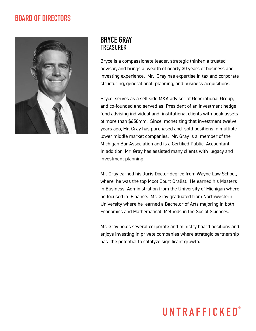

#### **BRYCE GRAY** TREASURER

Bryce is a compassionate leader, strategic thinker, a trusted advisor, and brings a wealth of nearly 30 years of business and investing experience. Mr. Gray has expertise in tax and corporate structuring, generational planning, and business acquisitions.

Bryce serves as a sell side M&A advisor at Generational Group, and co-founded and served as President of an investment hedge fund advising individual and institutional clients with peak assets of more than \$650mm. Since monetizing that investment twelve years ago, Mr. Gray has purchased and sold positions in multiple lower middle market companies. Mr. Gray is a member of the Michigan Bar Association and is a Certified Public Accountant. In addition, Mr. Gray has assisted many clients with legacy and investment planning.

Mr. Gray earned his Juris Doctor degree from Wayne Law School, where he was the top Moot Court Oralist. He earned his Masters in Business Administration from the University of Michigan where he focused in Finance. Mr. Gray graduated from Northwestern University where he earned a Bachelor of Arts majoring in both Economics and Mathematical Methods in the Social Sciences.

Mr. Gray holds several corporate and ministry board positions and enjoys investing in private companies where strategic partnership has the potential to catalyze significant growth.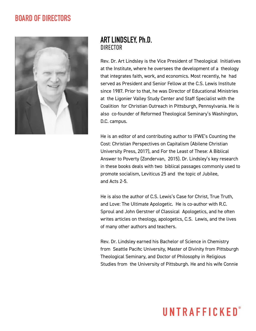

#### **ART LINDSLEY, Ph.D.** DIRECTOR

Rev. Dr. Art Lindsley is the Vice President of Theological Initiatives at the Institute, where he oversees the development of a theology that integrates faith, work, and economics. Most recently, he had served as President and Senior Fellow at the C.S. Lewis Institute since 1987. Prior to that, he was Director of Educational Ministries at the Ligonier Valley Study Center and Staff Specialist with the Coalition for Christian Outreach in Pittsburgh, Pennsylvania. He is also co-founder of Reformed Theological Seminary's Washington, D.C. campus.

He is an editor of and contributing author to IFWE's Counting the Cost: Christian Perspectives on Capitalism (Abilene Christian University Press, 2017), and For the Least of These: A Biblical Answer to Poverty (Zondervan, 2015). Dr. Lindsley's key research in these books deals with two biblical passages commonly used to promote socialism, Leviticus 25 and the topic of Jubilee, and Acts 2-5.

He is also the author of C.S. Lewis's Case for Christ, True Truth, and Love: The Ultimate Apologetic. He is co-author with R.C. Sproul and John Gerstner of Classical Apologetics, and he often writes articles on theology, apologetics, C.S. Lewis, and the lives of many other authors and teachers.

Rev. Dr. Lindsley earned his Bachelor of Science in Chemistry from Seattle Pacific University, Master of Divinity from Pittsburgh Theological Seminary, and Doctor of Philosophy in Religious Studies from the University of Pittsburgh. He and his wife Connie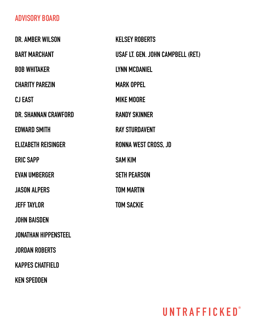### **ADVISORY BOARD**

**DR. AMBER WILSON BART MARCHANT BOB WHITAKER CHARITY PAREZIN CJ EAST DR. SHANNAN CRAWFORD EDWARD SMITH ELIZABETH REISINGER ERIC SAPP EVAN UMBERGER JASON ALPERS JEFF TAYLOR JOHN BAISDEN JONATHAN HIPPENSTEEL JORDAN ROBERTS KAPPES CHATFIELD KELSEY ROBERTS USAF LT. GEN. JOHN CAMPBELL (RET.) LYNN MCDANIEL MARK OPPEL MIKE MOORE RANDY SKINNER RAY STURDAVENT RONNA WEST CROSS, JD SAM KIM SETH PEARSON TOM MARTIN TOM SACKIE**

**KEN SPEDDEN**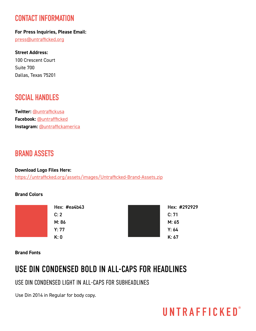### **CONTACT INFORMATION**

**For Press Inquiries, Please Email:**  [press@untrafficked.org](mailto:press%40untrafficked.org?subject=)

**Street Address:** 100 Crescent Court Suite 700 Dallas, Texas 75201

### **SOCIAL HANDLES**

**Twitter:** [@untraffickusa](https://twitter.com/untraffickusa) **Facebook:** [@untraffficked](https://www.facebook.com/untrafficked) **Instagram:** [@untraffickamerica](https://www.instagram.com/untraffickamerica/)

### **BRAND ASSETS**

**Download Logo Files Here:** <https://untrafficked.org/assets/images/Untrafficked-Brand-Assets.zip>

#### **Brand Colors**

| Hex: #ea4b43 | Hex: #292929 |
|--------------|--------------|
| C: 2         | C: 71        |
| M: 86        | M: 65        |
| Y: 77        | Y: 64        |
| K: 0         | K: 67        |
|              |              |

**Brand Fonts**

### USE DIN CONDENSED BOLD IN ALL-CAPS FOR HEADLINES

USE DIN CONDENSED LIGHT IN ALL-CAPS FOR SUBHEADLINES

Use Din 2014 in Regular for body copy.